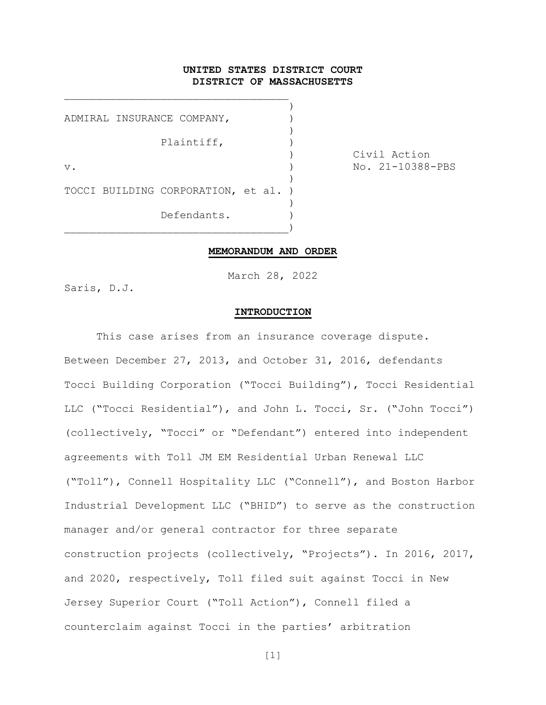## UNITED STATES DISTRICT COURT DISTRICT OF MASSACHUSETTS

) ADMIRAL INSURANCE COMPANY,  $)$ Plaintiff, ) v. 1-10388-PBS (and the set of the set of the set of the set of the set of the set of the set of the set of th ) TOCCI BUILDING CORPORATION, et al. )  $)$ Defendants. \_\_\_\_\_\_\_\_\_\_\_\_\_\_\_\_\_\_\_\_\_\_\_\_\_\_\_\_\_\_\_\_\_\_\_)

\_\_\_\_\_\_\_\_\_\_\_\_\_\_\_\_\_\_\_\_\_\_\_\_\_\_\_\_\_\_\_\_\_\_\_

) Civil Action

#### MEMORANDUM AND ORDER

March 28, 2022

Saris, D.J.

#### INTRODUCTION

This case arises from an insurance coverage dispute. Between December 27, 2013, and October 31, 2016, defendants Tocci Building Corporation ("Tocci Building"), Tocci Residential LLC ("Tocci Residential"), and John L. Tocci, Sr. ("John Tocci") (collectively, "Tocci" or "Defendant") entered into independent agreements with Toll JM EM Residential Urban Renewal LLC ("Toll"), Connell Hospitality LLC ("Connell"), and Boston Harbor Industrial Development LLC ("BHID") to serve as the construction manager and/or general contractor for three separate construction projects (collectively, "Projects"). In 2016, 2017, and 2020, respectively, Toll filed suit against Tocci in New Jersey Superior Court ("Toll Action"), Connell filed a counterclaim against Tocci in the parties' arbitration

 $[1]$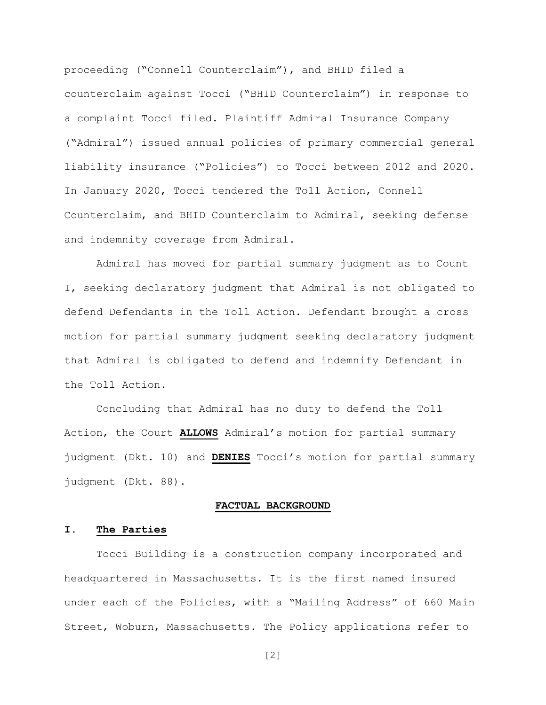proceeding ("Connell Counterclaim"), and BHID filed a counterclaim against Tocci ("BHID Counterclaim") in response to a complaint Tocci filed. Plaintiff Admiral Insurance Company ("Admiral") issued annual policies of primary commercial general liability insurance ("Policies") to Tocci between 2012 and 2020. In January 2020, Tocci tendered the Toll Action, Connell Counterclaim, and BHID Counterclaim to Admiral, seeking defense and indemnity coverage from Admiral.

Admiral has moved for partial summary judgment as to Count I, seeking declaratory judgment that Admiral is not obligated to defend Defendants in the Toll Action. Defendant brought a cross motion for partial summary judgment seeking declaratory judgment that Admiral is obligated to defend and indemnify Defendant in the Toll Action.

Concluding that Admiral has no duty to defend the Toll Action, the Court ALLOWS Admiral's motion for partial summary judgment (Dkt. 10) and DENIES Tocci's motion for partial summary judgment (Dkt. 88).

#### FACTUAL BACKGROUND

## I. The Parties

Tocci Building is a construction company incorporated and headquartered in Massachusetts. It is the first named insured under each of the Policies, with a "Mailing Address" of 660 Main Street, Woburn, Massachusetts. The Policy applications refer to

[2]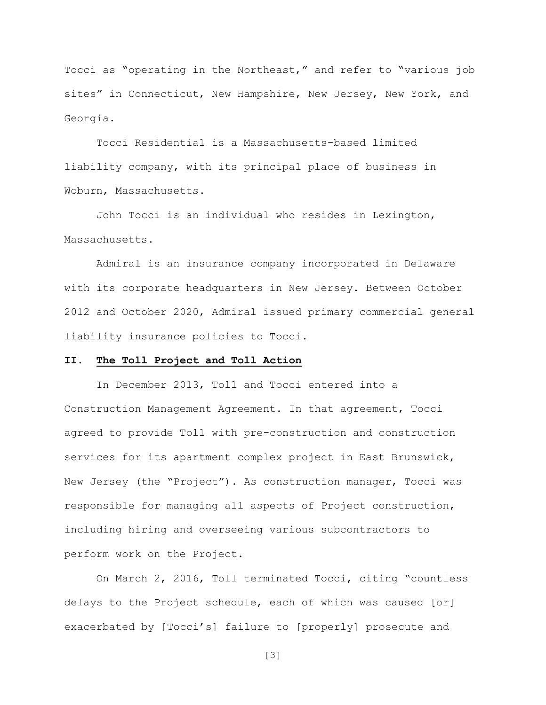Tocci as "operating in the Northeast," and refer to "various job sites" in Connecticut, New Hampshire, New Jersey, New York, and Georgia.

Tocci Residential is a Massachusetts-based limited liability company, with its principal place of business in Woburn, Massachusetts.

John Tocci is an individual who resides in Lexington, Massachusetts.

Admiral is an insurance company incorporated in Delaware with its corporate headquarters in New Jersey. Between October 2012 and October 2020, Admiral issued primary commercial general liability insurance policies to Tocci.

#### II. The Toll Project and Toll Action

In December 2013, Toll and Tocci entered into a Construction Management Agreement. In that agreement, Tocci agreed to provide Toll with pre-construction and construction services for its apartment complex project in East Brunswick, New Jersey (the "Project"). As construction manager, Tocci was responsible for managing all aspects of Project construction, including hiring and overseeing various subcontractors to perform work on the Project.

On March 2, 2016, Toll terminated Tocci, citing "countless delays to the Project schedule, each of which was caused [or] exacerbated by [Tocci's] failure to [properly] prosecute and

[3]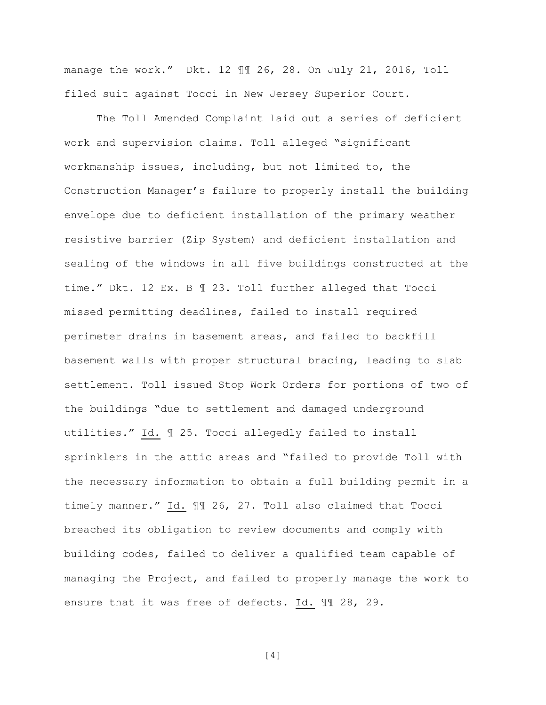manage the work." Dkt. 12 ¶¶ 26, 28. On July 21, 2016, Toll filed suit against Tocci in New Jersey Superior Court.

The Toll Amended Complaint laid out a series of deficient work and supervision claims. Toll alleged "significant workmanship issues, including, but not limited to, the Construction Manager's failure to properly install the building envelope due to deficient installation of the primary weather resistive barrier (Zip System) and deficient installation and sealing of the windows in all five buildings constructed at the time." Dkt. 12 Ex. B ¶ 23. Toll further alleged that Tocci missed permitting deadlines, failed to install required perimeter drains in basement areas, and failed to backfill basement walls with proper structural bracing, leading to slab settlement. Toll issued Stop Work Orders for portions of two of the buildings "due to settlement and damaged underground utilities." Id. ¶ 25. Tocci allegedly failed to install sprinklers in the attic areas and "failed to provide Toll with the necessary information to obtain a full building permit in a timely manner." Id. ¶¶ 26, 27. Toll also claimed that Tocci breached its obligation to review documents and comply with building codes, failed to deliver a qualified team capable of managing the Project, and failed to properly manage the work to ensure that it was free of defects. Id. ¶¶ 28, 29.

[4]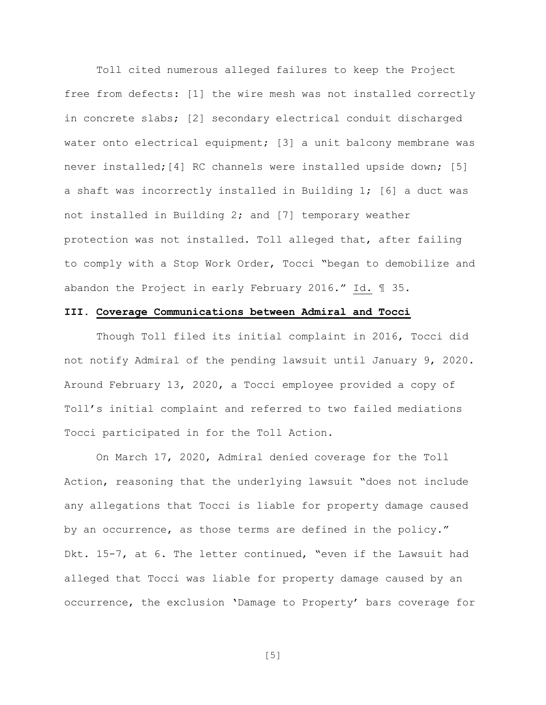Toll cited numerous alleged failures to keep the Project free from defects: [1] the wire mesh was not installed correctly in concrete slabs; [2] secondary electrical conduit discharged water onto electrical equipment; [3] a unit balcony membrane was never installed;[4] RC channels were installed upside down; [5] a shaft was incorrectly installed in Building 1; [6] a duct was not installed in Building 2; and [7] temporary weather protection was not installed. Toll alleged that, after failing to comply with a Stop Work Order, Tocci "began to demobilize and abandon the Project in early February 2016." Id. ¶ 35.

## III. Coverage Communications between Admiral and Tocci

Though Toll filed its initial complaint in 2016, Tocci did not notify Admiral of the pending lawsuit until January 9, 2020. Around February 13, 2020, a Tocci employee provided a copy of Toll's initial complaint and referred to two failed mediations Tocci participated in for the Toll Action.

On March 17, 2020, Admiral denied coverage for the Toll Action, reasoning that the underlying lawsuit "does not include any allegations that Tocci is liable for property damage caused by an occurrence, as those terms are defined in the policy." Dkt. 15-7, at 6. The letter continued, "even if the Lawsuit had alleged that Tocci was liable for property damage caused by an occurrence, the exclusion 'Damage to Property' bars coverage for

[5]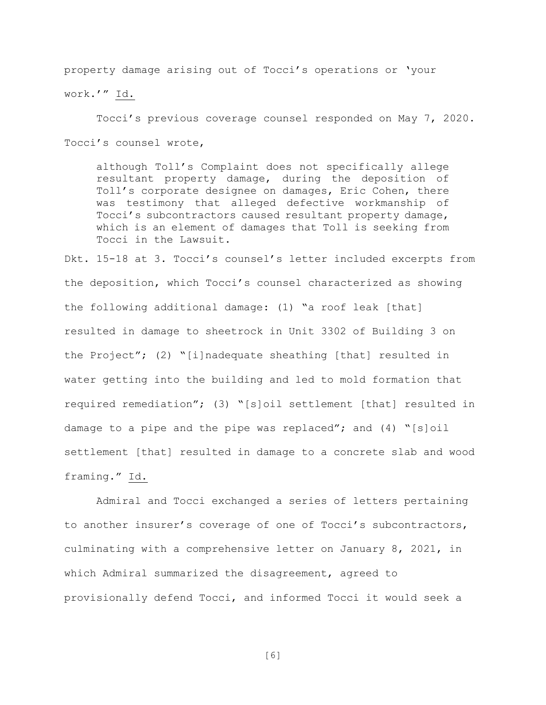property damage arising out of Tocci's operations or 'your

work.'" Id.

Tocci's previous coverage counsel responded on May 7, 2020. Tocci's counsel wrote,

although Toll's Complaint does not specifically allege resultant property damage, during the deposition of Toll's corporate designee on damages, Eric Cohen, there was testimony that alleged defective workmanship of Tocci's subcontractors caused resultant property damage, which is an element of damages that Toll is seeking from Tocci in the Lawsuit.

Dkt. 15-18 at 3. Tocci's counsel's letter included excerpts from the deposition, which Tocci's counsel characterized as showing the following additional damage: (1) "a roof leak [that] resulted in damage to sheetrock in Unit 3302 of Building 3 on the Project"; (2) "[i]nadequate sheathing [that] resulted in water getting into the building and led to mold formation that required remediation"; (3) "[s]oil settlement [that] resulted in damage to a pipe and the pipe was replaced"; and  $(4)$  "[s]oil settlement [that] resulted in damage to a concrete slab and wood framing." Id.

Admiral and Tocci exchanged a series of letters pertaining to another insurer's coverage of one of Tocci's subcontractors, culminating with a comprehensive letter on January 8, 2021, in which Admiral summarized the disagreement, agreed to provisionally defend Tocci, and informed Tocci it would seek a

[6]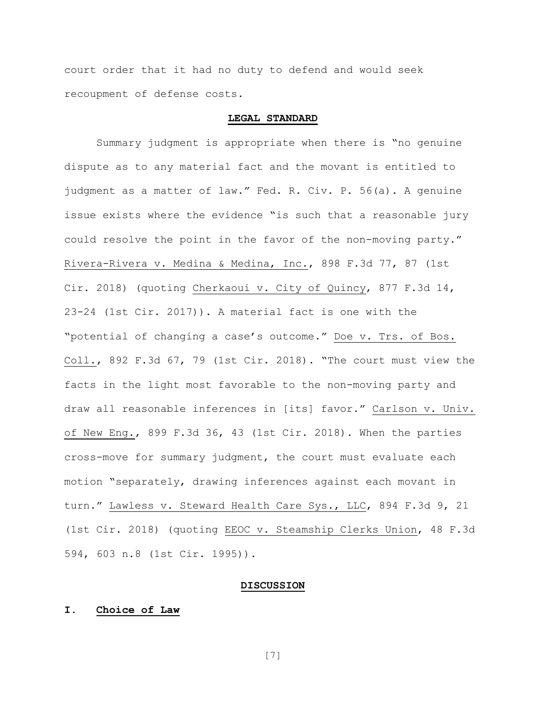court order that it had no duty to defend and would seek recoupment of defense costs.

#### LEGAL STANDARD

Summary judgment is appropriate when there is "no genuine dispute as to any material fact and the movant is entitled to judgment as a matter of law." Fed. R. Civ. P. 56(a). A genuine issue exists where the evidence "is such that a reasonable jury could resolve the point in the favor of the non-moving party." Rivera-Rivera v. Medina & Medina, Inc., 898 F.3d 77, 87 (1st Cir. 2018) (quoting Cherkaoui v. City of Quincy, 877 F.3d 14, 23-24 (1st Cir. 2017)). A material fact is one with the "potential of changing a case's outcome." Doe v. Trs. of Bos. Coll., 892 F.3d 67, 79 (1st Cir. 2018). "The court must view the facts in the light most favorable to the non-moving party and draw all reasonable inferences in [its] favor." Carlson v. Univ. of New Eng., 899 F.3d 36, 43 (1st Cir. 2018). When the parties cross-move for summary judgment, the court must evaluate each motion "separately, drawing inferences against each movant in turn." Lawless v. Steward Health Care Sys., LLC, 894 F.3d 9, 21 (1st Cir. 2018) (quoting EEOC v. Steamship Clerks Union, 48 F.3d 594, 603 n.8 (1st Cir. 1995)).

#### DISCUSSION

## I. Choice of Law

[7]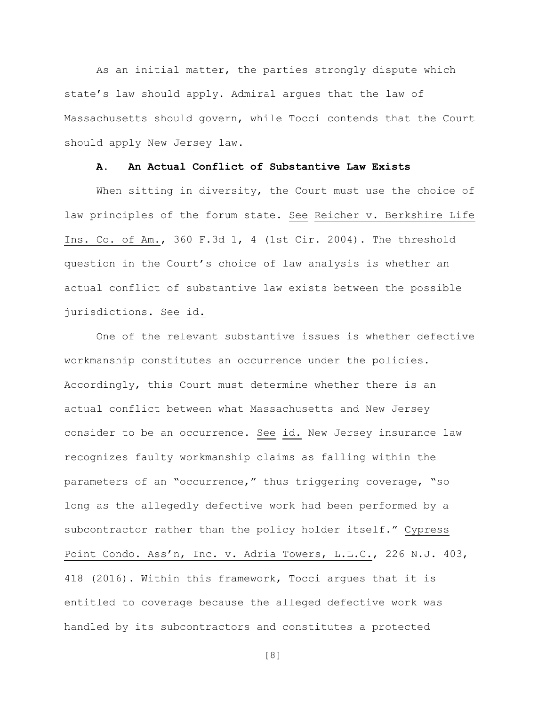As an initial matter, the parties strongly dispute which state's law should apply. Admiral argues that the law of Massachusetts should govern, while Tocci contends that the Court should apply New Jersey law.

## A. An Actual Conflict of Substantive Law Exists

When sitting in diversity, the Court must use the choice of law principles of the forum state. See Reicher v. Berkshire Life Ins. Co. of Am., 360 F.3d 1, 4 (1st Cir. 2004). The threshold question in the Court's choice of law analysis is whether an actual conflict of substantive law exists between the possible jurisdictions. See id.

One of the relevant substantive issues is whether defective workmanship constitutes an occurrence under the policies. Accordingly, this Court must determine whether there is an actual conflict between what Massachusetts and New Jersey consider to be an occurrence. See id. New Jersey insurance law recognizes faulty workmanship claims as falling within the parameters of an "occurrence," thus triggering coverage, "so long as the allegedly defective work had been performed by a subcontractor rather than the policy holder itself." Cypress Point Condo. Ass'n, Inc. v. Adria Towers, L.L.C., 226 N.J. 403, 418 (2016). Within this framework, Tocci argues that it is entitled to coverage because the alleged defective work was handled by its subcontractors and constitutes a protected

[8]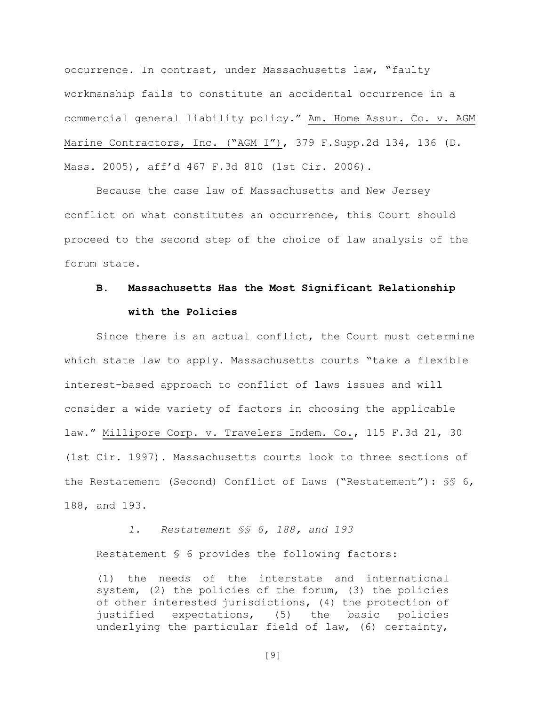occurrence. In contrast, under Massachusetts law, "faulty workmanship fails to constitute an accidental occurrence in a commercial general liability policy." Am. Home Assur. Co. v. AGM Marine Contractors, Inc. ("AGM I"), 379 F.Supp.2d 134, 136 (D. Mass. 2005), aff'd 467 F.3d 810 (1st Cir. 2006).

Because the case law of Massachusetts and New Jersey conflict on what constitutes an occurrence, this Court should proceed to the second step of the choice of law analysis of the forum state.

# B. Massachusetts Has the Most Significant Relationship with the Policies

Since there is an actual conflict, the Court must determine which state law to apply. Massachusetts courts "take a flexible interest-based approach to conflict of laws issues and will consider a wide variety of factors in choosing the applicable law." Millipore Corp. v. Travelers Indem. Co., 115 F.3d 21, 30 (1st Cir. 1997). Massachusetts courts look to three sections of the Restatement (Second) Conflict of Laws ("Restatement"): §§ 6, 188, and 193.

1. Restatement §§ 6, 188, and 193 Restatement § 6 provides the following factors: (1) the needs of the interstate and international

system, (2) the policies of the forum, (3) the policies of other interested jurisdictions, (4) the protection of justified expectations, (5) the basic policies underlying the particular field of law, (6) certainty,

[9]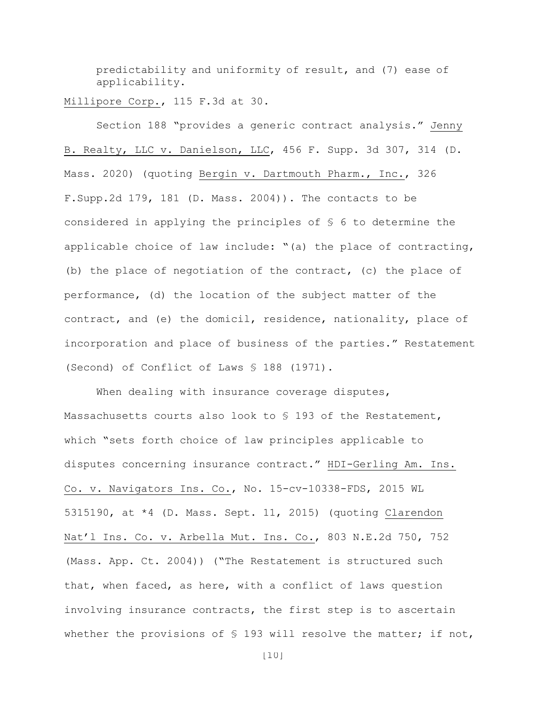predictability and uniformity of result, and (7) ease of applicability.

Millipore Corp., 115 F.3d at 30.

Section 188 "provides a generic contract analysis." Jenny B. Realty, LLC v. Danielson, LLC, 456 F. Supp. 3d 307, 314 (D. Mass. 2020) (quoting Bergin v. Dartmouth Pharm., Inc., 326 F.Supp.2d 179, 181 (D. Mass. 2004)). The contacts to be considered in applying the principles of § 6 to determine the applicable choice of law include: "(a) the place of contracting, (b) the place of negotiation of the contract, (c) the place of performance, (d) the location of the subject matter of the contract, and (e) the domicil, residence, nationality, place of incorporation and place of business of the parties." Restatement (Second) of Conflict of Laws § 188 (1971).

When dealing with insurance coverage disputes, Massachusetts courts also look to § 193 of the Restatement, which "sets forth choice of law principles applicable to disputes concerning insurance contract." HDI-Gerling Am. Ins. Co. v. Navigators Ins. Co., No. 15-cv-10338-FDS, 2015 WL 5315190, at \*4 (D. Mass. Sept. 11, 2015) (quoting Clarendon Nat'l Ins. Co. v. Arbella Mut. Ins. Co., 803 N.E.2d 750, 752 (Mass. App. Ct. 2004)) ("The Restatement is structured such that, when faced, as here, with a conflict of laws question involving insurance contracts, the first step is to ascertain whether the provisions of  $S$  193 will resolve the matter; if not,

[10]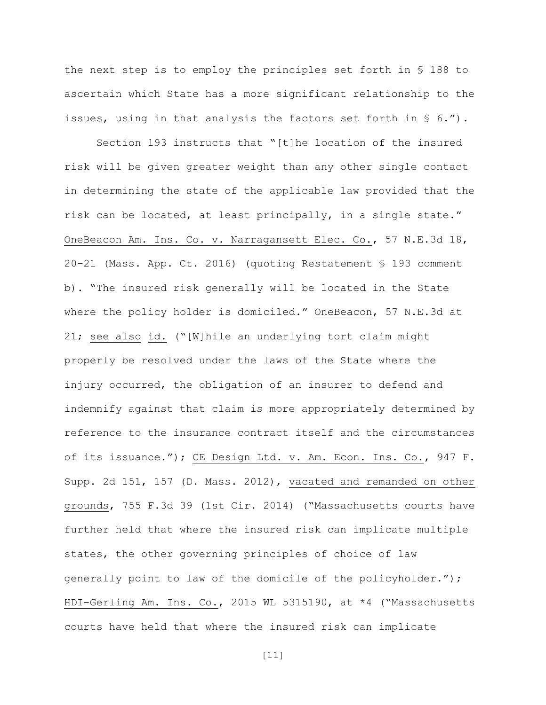the next step is to employ the principles set forth in § 188 to ascertain which State has a more significant relationship to the issues, using in that analysis the factors set forth in  $\S$  6.").

Section 193 instructs that "[t]he location of the insured risk will be given greater weight than any other single contact in determining the state of the applicable law provided that the risk can be located, at least principally, in a single state." OneBeacon Am. Ins. Co. v. Narragansett Elec. Co., 57 N.E.3d 18, 20–21 (Mass. App. Ct. 2016) (quoting Restatement § 193 comment b). "The insured risk generally will be located in the State where the policy holder is domiciled." OneBeacon, 57 N.E.3d at 21; see also id. ("[W]hile an underlying tort claim might properly be resolved under the laws of the State where the injury occurred, the obligation of an insurer to defend and indemnify against that claim is more appropriately determined by reference to the insurance contract itself and the circumstances of its issuance."); CE Design Ltd. v. Am. Econ. Ins. Co., 947 F. Supp. 2d 151, 157 (D. Mass. 2012), vacated and remanded on other grounds, 755 F.3d 39 (1st Cir. 2014) ("Massachusetts courts have further held that where the insured risk can implicate multiple states, the other governing principles of choice of law generally point to law of the domicile of the policyholder."); HDI-Gerling Am. Ins. Co., 2015 WL 5315190, at \*4 ("Massachusetts courts have held that where the insured risk can implicate

 $[11]$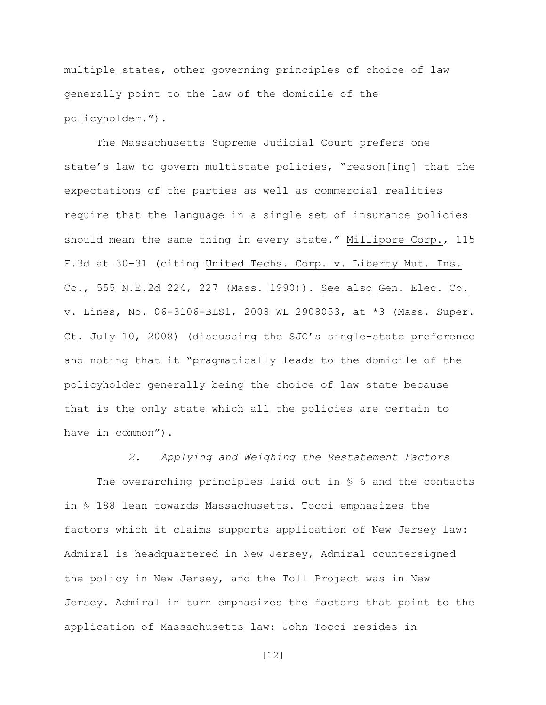multiple states, other governing principles of choice of law generally point to the law of the domicile of the policyholder.").

The Massachusetts Supreme Judicial Court prefers one state's law to govern multistate policies, "reason[ing] that the expectations of the parties as well as commercial realities require that the language in a single set of insurance policies should mean the same thing in every state." Millipore Corp., 115 F.3d at 30–31 (citing United Techs. Corp. v. Liberty Mut. Ins. Co., 555 N.E.2d 224, 227 (Mass. 1990)). See also Gen. Elec. Co. v. Lines, No. 06-3106-BLS1, 2008 WL 2908053, at \*3 (Mass. Super. Ct. July 10, 2008) (discussing the SJC's single-state preference and noting that it "pragmatically leads to the domicile of the policyholder generally being the choice of law state because that is the only state which all the policies are certain to have in common").

2. Applying and Weighing the Restatement Factors The overarching principles laid out in § 6 and the contacts in § 188 lean towards Massachusetts. Tocci emphasizes the factors which it claims supports application of New Jersey law: Admiral is headquartered in New Jersey, Admiral countersigned the policy in New Jersey, and the Toll Project was in New Jersey. Admiral in turn emphasizes the factors that point to the application of Massachusetts law: John Tocci resides in

[12]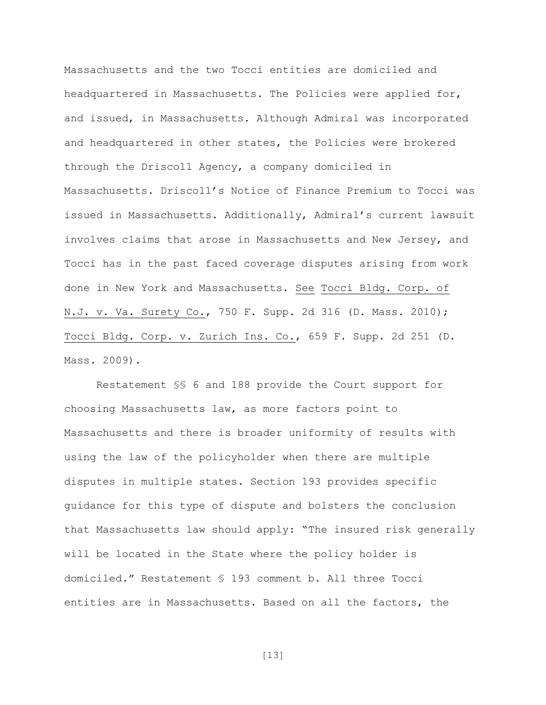Massachusetts and the two Tocci entities are domiciled and headquartered in Massachusetts. The Policies were applied for, and issued, in Massachusetts. Although Admiral was incorporated and headquartered in other states, the Policies were brokered through the Driscoll Agency, a company domiciled in Massachusetts. Driscoll's Notice of Finance Premium to Tocci was issued in Massachusetts. Additionally, Admiral's current lawsuit involves claims that arose in Massachusetts and New Jersey, and Tocci has in the past faced coverage disputes arising from work done in New York and Massachusetts. See Tocci Bldg. Corp. of N.J. v. Va. Surety Co., 750 F. Supp. 2d 316 (D. Mass. 2010); Tocci Bldg. Corp. v. Zurich Ins. Co., 659 F. Supp. 2d 251 (D. Mass. 2009).

Restatement §§ 6 and 188 provide the Court support for choosing Massachusetts law, as more factors point to Massachusetts and there is broader uniformity of results with using the law of the policyholder when there are multiple disputes in multiple states. Section 193 provides specific guidance for this type of dispute and bolsters the conclusion that Massachusetts law should apply: "The insured risk generally will be located in the State where the policy holder is domiciled." Restatement § 193 comment b. All three Tocci entities are in Massachusetts. Based on all the factors, the

[13]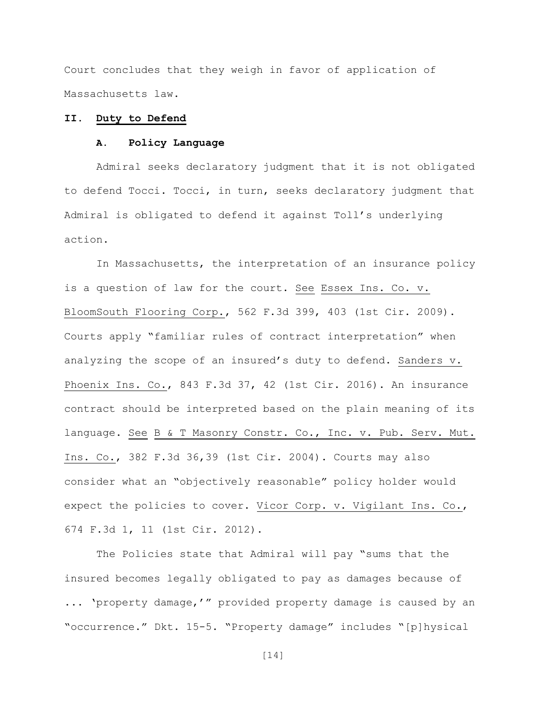Court concludes that they weigh in favor of application of Massachusetts law.

## II. Duty to Defend

## A. Policy Language

Admiral seeks declaratory judgment that it is not obligated to defend Tocci. Tocci, in turn, seeks declaratory judgment that Admiral is obligated to defend it against Toll's underlying action.

In Massachusetts, the interpretation of an insurance policy is a question of law for the court. See Essex Ins. Co. v. BloomSouth Flooring Corp., 562 F.3d 399, 403 (1st Cir. 2009). Courts apply "familiar rules of contract interpretation" when analyzing the scope of an insured's duty to defend. Sanders v. Phoenix Ins. Co., 843 F.3d 37, 42 (1st Cir. 2016). An insurance contract should be interpreted based on the plain meaning of its language. See B & T Masonry Constr. Co., Inc. v. Pub. Serv. Mut. Ins. Co., 382 F.3d 36,39 (1st Cir. 2004). Courts may also consider what an "objectively reasonable" policy holder would expect the policies to cover. Vicor Corp. v. Vigilant Ins. Co., 674 F.3d 1, 11 (1st Cir. 2012).

The Policies state that Admiral will pay "sums that the insured becomes legally obligated to pay as damages because of ... 'property damage,'" provided property damage is caused by an "occurrence." Dkt. 15-5. "Property damage" includes "[p]hysical

[14]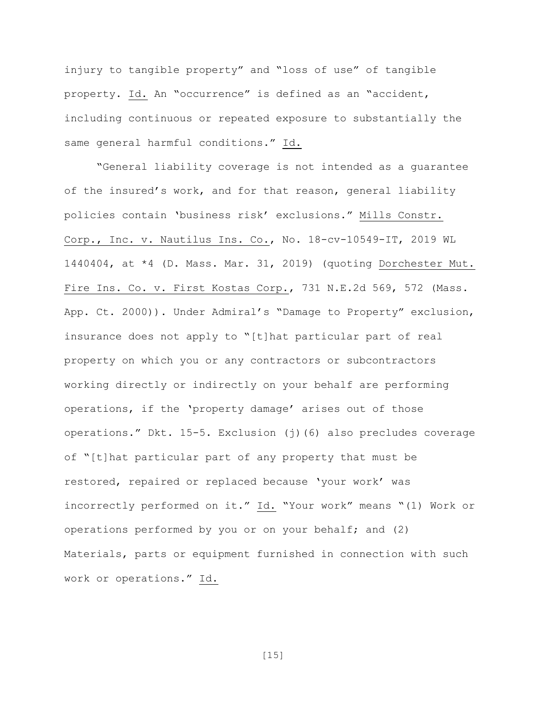injury to tangible property" and "loss of use" of tangible property. Id. An "occurrence" is defined as an "accident, including continuous or repeated exposure to substantially the same general harmful conditions." Id.

"General liability coverage is not intended as a guarantee of the insured's work, and for that reason, general liability policies contain 'business risk' exclusions." Mills Constr. Corp., Inc. v. Nautilus Ins. Co., No. 18-cv-10549-IT, 2019 WL 1440404, at \*4 (D. Mass. Mar. 31, 2019) (quoting Dorchester Mut. Fire Ins. Co. v. First Kostas Corp., 731 N.E.2d 569, 572 (Mass. App. Ct. 2000)). Under Admiral's "Damage to Property" exclusion, insurance does not apply to "[t]hat particular part of real property on which you or any contractors or subcontractors working directly or indirectly on your behalf are performing operations, if the 'property damage' arises out of those operations." Dkt. 15-5. Exclusion (j)(6) also precludes coverage of "[t]hat particular part of any property that must be restored, repaired or replaced because 'your work' was incorrectly performed on it." Id. "Your work" means "(1) Work or operations performed by you or on your behalf; and (2) Materials, parts or equipment furnished in connection with such work or operations." Id.

[15]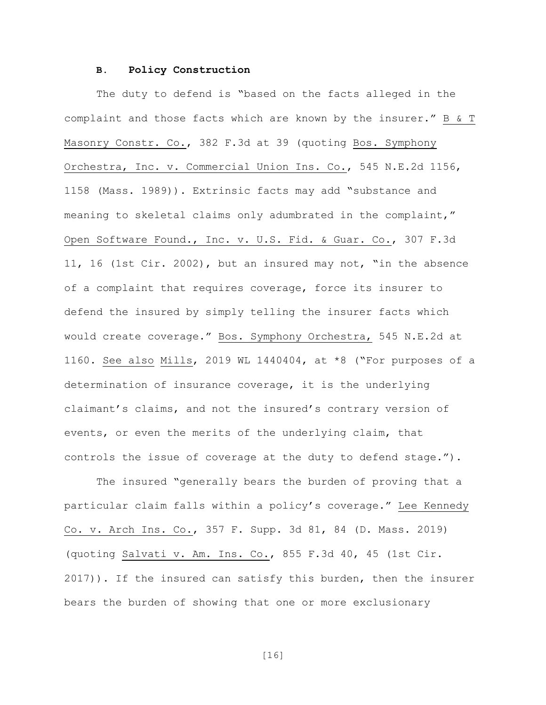#### B. Policy Construction

The duty to defend is "based on the facts alleged in the complaint and those facts which are known by the insurer." B & T Masonry Constr. Co., 382 F.3d at 39 (quoting Bos. Symphony Orchestra, Inc. v. Commercial Union Ins. Co., 545 N.E.2d 1156, 1158 (Mass. 1989)). Extrinsic facts may add "substance and meaning to skeletal claims only adumbrated in the complaint," Open Software Found., Inc. v. U.S. Fid. & Guar. Co., 307 F.3d 11, 16 (1st Cir. 2002), but an insured may not, "in the absence of a complaint that requires coverage, force its insurer to defend the insured by simply telling the insurer facts which would create coverage." Bos. Symphony Orchestra, 545 N.E.2d at 1160. See also Mills, 2019 WL 1440404, at \*8 ("For purposes of a determination of insurance coverage, it is the underlying claimant's claims, and not the insured's contrary version of events, or even the merits of the underlying claim, that controls the issue of coverage at the duty to defend stage.").

The insured "generally bears the burden of proving that a particular claim falls within a policy's coverage." Lee Kennedy Co. v. Arch Ins. Co., 357 F. Supp. 3d 81, 84 (D. Mass. 2019) (quoting Salvati v. Am. Ins. Co., 855 F.3d 40, 45 (1st Cir. 2017)). If the insured can satisfy this burden, then the insurer bears the burden of showing that one or more exclusionary

[16]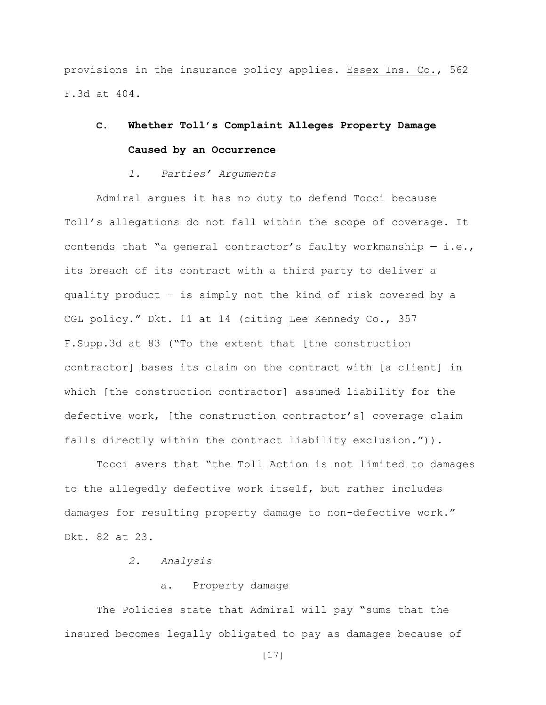provisions in the insurance policy applies. Essex Ins. Co., 562 F.3d at 404.

# C. Whether Toll's Complaint Alleges Property Damage Caused by an Occurrence

#### 1. Parties' Arguments

Admiral argues it has no duty to defend Tocci because Toll's allegations do not fall within the scope of coverage. It contends that "a general contractor's faulty workmanship  $-$  i.e., its breach of its contract with a third party to deliver a quality product – is simply not the kind of risk covered by a CGL policy." Dkt. 11 at 14 (citing Lee Kennedy Co., 357 F.Supp.3d at 83 ("To the extent that [the construction contractor] bases its claim on the contract with [a client] in which [the construction contractor] assumed liability for the defective work, [the construction contractor's] coverage claim falls directly within the contract liability exclusion.")).

Tocci avers that "the Toll Action is not limited to damages to the allegedly defective work itself, but rather includes damages for resulting property damage to non-defective work." Dkt. 82 at 23.

### 2. Analysis

## a. Property damage

The Policies state that Admiral will pay "sums that the insured becomes legally obligated to pay as damages because of

[17]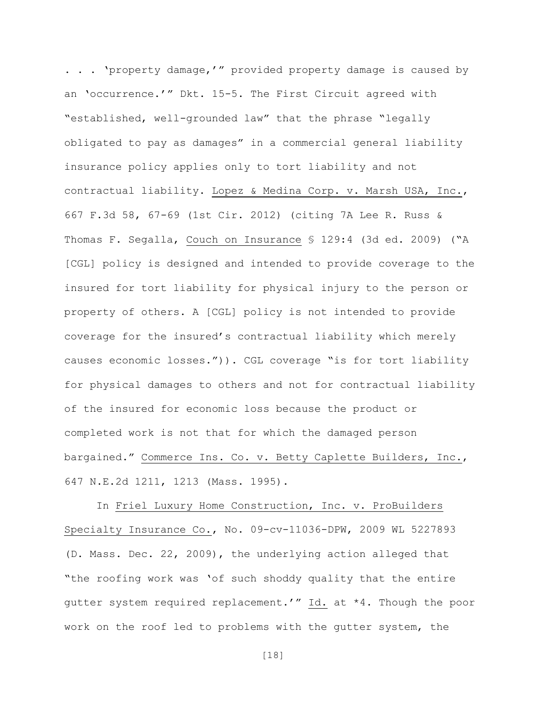. . . 'property damage,'" provided property damage is caused by an 'occurrence.'" Dkt. 15-5. The First Circuit agreed with "established, well-grounded law" that the phrase "legally obligated to pay as damages" in a commercial general liability insurance policy applies only to tort liability and not contractual liability. Lopez & Medina Corp. v. Marsh USA, Inc., 667 F.3d 58, 67-69 (1st Cir. 2012) (citing 7A Lee R. Russ & Thomas F. Segalla, Couch on Insurance § 129:4 (3d ed. 2009) ("A [CGL] policy is designed and intended to provide coverage to the insured for tort liability for physical injury to the person or property of others. A [CGL] policy is not intended to provide coverage for the insured's contractual liability which merely causes economic losses.")). CGL coverage "is for tort liability for physical damages to others and not for contractual liability of the insured for economic loss because the product or completed work is not that for which the damaged person bargained." Commerce Ins. Co. v. Betty Caplette Builders, Inc., 647 N.E.2d 1211, 1213 (Mass. 1995).

In Friel Luxury Home Construction, Inc. v. ProBuilders Specialty Insurance Co., No. 09-cv-11036-DPW, 2009 WL 5227893 (D. Mass. Dec. 22, 2009), the underlying action alleged that "the roofing work was 'of such shoddy quality that the entire gutter system required replacement.'" Id. at \*4. Though the poor work on the roof led to problems with the gutter system, the

[18]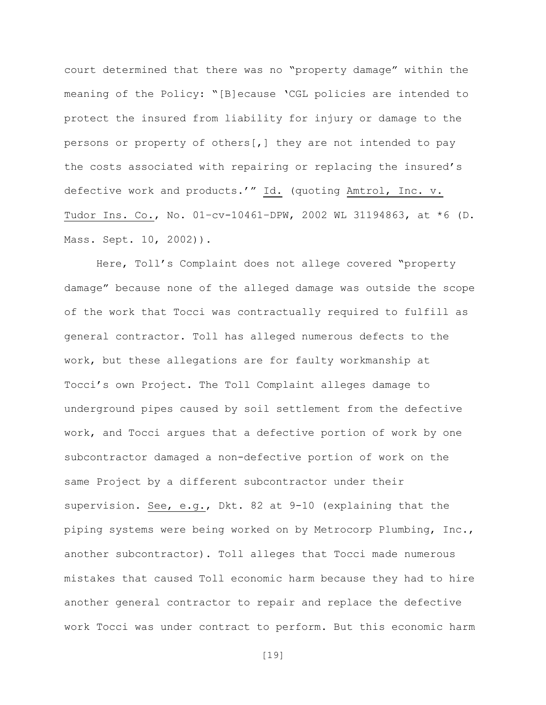court determined that there was no "property damage" within the meaning of the Policy: "[B]ecause 'CGL policies are intended to protect the insured from liability for injury or damage to the persons or property of others[,] they are not intended to pay the costs associated with repairing or replacing the insured's defective work and products.'" Id. (quoting Amtrol, Inc. v. Tudor Ins. Co., No. 01–cv-10461–DPW, 2002 WL 31194863, at \*6 (D. Mass. Sept. 10, 2002)).

Here, Toll's Complaint does not allege covered "property damage" because none of the alleged damage was outside the scope of the work that Tocci was contractually required to fulfill as general contractor. Toll has alleged numerous defects to the work, but these allegations are for faulty workmanship at Tocci's own Project. The Toll Complaint alleges damage to underground pipes caused by soil settlement from the defective work, and Tocci argues that a defective portion of work by one subcontractor damaged a non-defective portion of work on the same Project by a different subcontractor under their supervision. See, e.g., Dkt. 82 at 9-10 (explaining that the piping systems were being worked on by Metrocorp Plumbing, Inc., another subcontractor). Toll alleges that Tocci made numerous mistakes that caused Toll economic harm because they had to hire another general contractor to repair and replace the defective work Tocci was under contract to perform. But this economic harm

[19]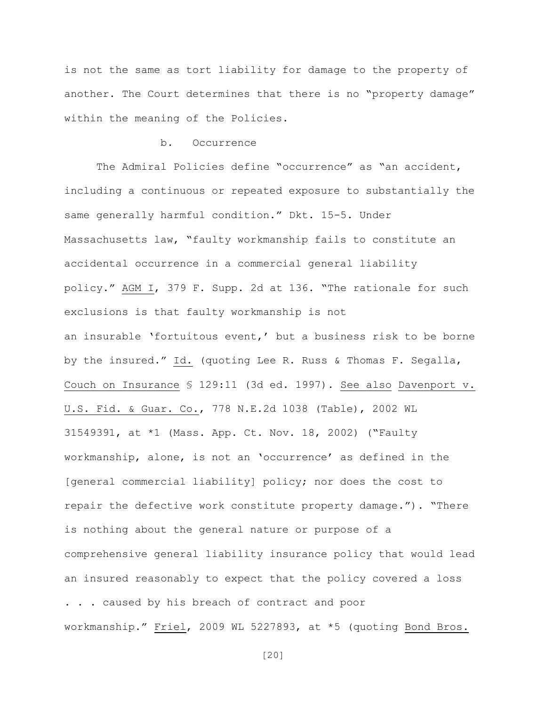is not the same as tort liability for damage to the property of another. The Court determines that there is no "property damage" within the meaning of the Policies.

## b. Occurrence

The Admiral Policies define "occurrence" as "an accident, including a continuous or repeated exposure to substantially the same generally harmful condition." Dkt. 15-5. Under Massachusetts law, "faulty workmanship fails to constitute an accidental occurrence in a commercial general liability policy." AGM I, 379 F. Supp. 2d at 136. "The rationale for such exclusions is that faulty workmanship is not an insurable 'fortuitous event,' but a business risk to be borne by the insured." Id. (quoting Lee R. Russ & Thomas F. Segalla, Couch on Insurance § 129:11 (3d ed. 1997). See also Davenport v. U.S. Fid. & Guar. Co., 778 N.E.2d 1038 (Table), 2002 WL 31549391, at \*1 (Mass. App. Ct. Nov. 18, 2002) ("Faulty workmanship, alone, is not an 'occurrence' as defined in the [general commercial liability] policy; nor does the cost to repair the defective work constitute property damage."). "There is nothing about the general nature or purpose of a comprehensive general liability insurance policy that would lead an insured reasonably to expect that the policy covered a loss . . . caused by his breach of contract and poor workmanship." Friel, 2009 WL 5227893, at \*5 (quoting Bond Bros.

[20]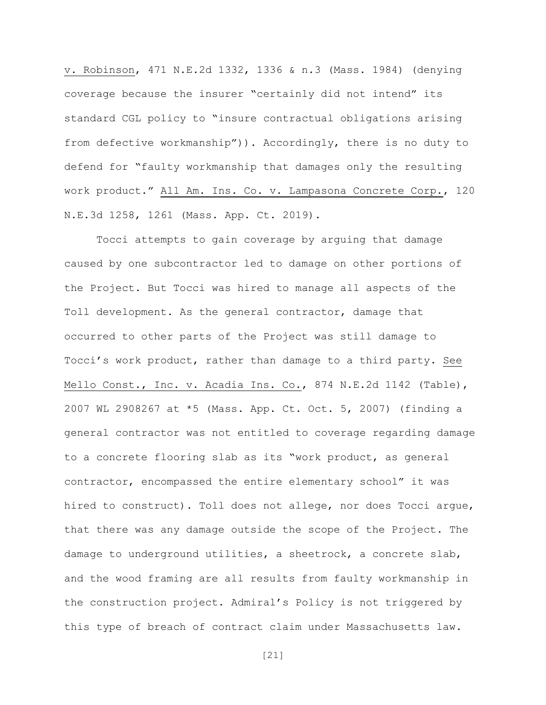v. Robinson, 471 N.E.2d 1332, 1336 & n.3 (Mass. 1984) (denying coverage because the insurer "certainly did not intend" its standard CGL policy to "insure contractual obligations arising from defective workmanship")). Accordingly, there is no duty to defend for "faulty workmanship that damages only the resulting work product." All Am. Ins. Co. v. Lampasona Concrete Corp., 120 N.E.3d 1258, 1261 (Mass. App. Ct. 2019).

Tocci attempts to gain coverage by arguing that damage caused by one subcontractor led to damage on other portions of the Project. But Tocci was hired to manage all aspects of the Toll development. As the general contractor, damage that occurred to other parts of the Project was still damage to Tocci's work product, rather than damage to a third party. See Mello Const., Inc. v. Acadia Ins. Co., 874 N.E.2d 1142 (Table), 2007 WL 2908267 at \*5 (Mass. App. Ct. Oct. 5, 2007) (finding a general contractor was not entitled to coverage regarding damage to a concrete flooring slab as its "work product, as general contractor, encompassed the entire elementary school" it was hired to construct). Toll does not allege, nor does Tocci argue, that there was any damage outside the scope of the Project. The damage to underground utilities, a sheetrock, a concrete slab, and the wood framing are all results from faulty workmanship in the construction project. Admiral's Policy is not triggered by this type of breach of contract claim under Massachusetts law.

[21]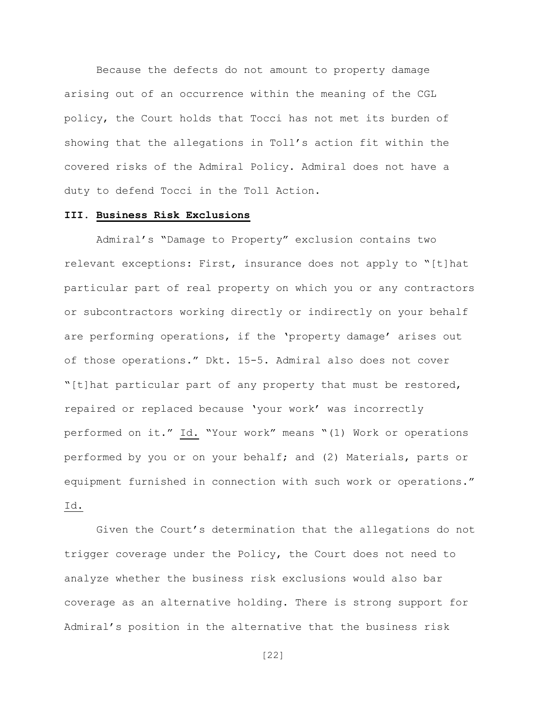Because the defects do not amount to property damage arising out of an occurrence within the meaning of the CGL policy, the Court holds that Tocci has not met its burden of showing that the allegations in Toll's action fit within the covered risks of the Admiral Policy. Admiral does not have a duty to defend Tocci in the Toll Action.

## III. Business Risk Exclusions

Admiral's "Damage to Property" exclusion contains two relevant exceptions: First, insurance does not apply to "[t]hat particular part of real property on which you or any contractors or subcontractors working directly or indirectly on your behalf are performing operations, if the 'property damage' arises out of those operations." Dkt. 15-5. Admiral also does not cover "[t]hat particular part of any property that must be restored, repaired or replaced because 'your work' was incorrectly performed on it." Id. "Your work" means "(1) Work or operations performed by you or on your behalf; and (2) Materials, parts or equipment furnished in connection with such work or operations." Id.

Given the Court's determination that the allegations do not trigger coverage under the Policy, the Court does not need to analyze whether the business risk exclusions would also bar coverage as an alternative holding. There is strong support for Admiral's position in the alternative that the business risk

[22]